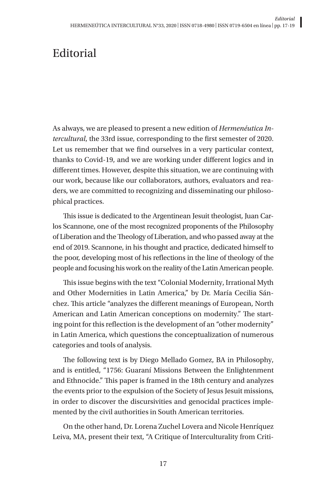## **Editorial**

As always, we are pleased to present a new edition of *Hermenéutica Intercultural*, the 33rd issue, corresponding to the first semester of 2020. Let us remember that we find ourselves in a very particular context, thanks to Covid-19, and we are working under different logics and in different times. However, despite this situation, we are continuing with our work, because like our collaborators, authors, evaluators and readers, we are committed to recognizing and disseminating our philosophical practices.

This issue is dedicated to the Argentinean Jesuit theologist, Juan Carlos Scannone, one of the most recognized proponents of the Philosophy of Liberation and the Theology of Liberation, and who passed away at the end of 2019. Scannone, in his thought and practice, dedicated himself to the poor, developing most of his reflections in the line of theology of the people and focusing his work on the reality of the Latin American people.

This issue begins with the text "Colonial Modernity, Irrational Myth and Other Modernities in Latin America," by Dr. María Cecilia Sánchez. This article "analyzes the different meanings of European, North American and Latin American conceptions on modernity." The starting point for this reflection is the development of an "other modernity" in Latin America, which questions the conceptualization of numerous categories and tools of analysis.

The following text is by Diego Mellado Gomez, BA in Philosophy, and is entitled, "1756: Guaraní Missions Between the Enlightenment and Ethnocide." This paper is framed in the 18th century and analyzes the events prior to the expulsion of the Society of Jesus Jesuit missions, in order to discover the discursivities and genocidal practices implemented by the civil authorities in South American territories.

On the other hand, Dr. Lorena Zuchel Lovera and Nicole Henríquez Leiva, MA, present their text, "A Critique of Interculturality from Criti-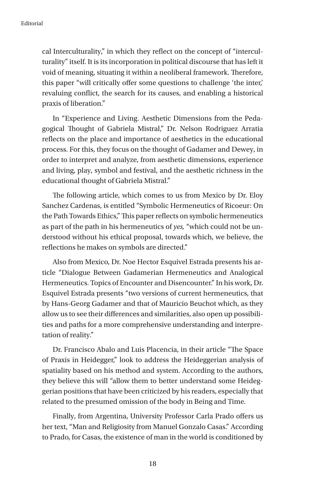cal Interculturality," in which they reflect on the concept of "interculturality" itself. It is its incorporation in political discourse that has left it void of meaning, situating it within a neoliberal framework. Therefore, this paper "will critically offer some questions to challenge 'the inter,' revaluing conflict, the search for its causes, and enabling a historical praxis of liberation."

In "Experience and Living. Aesthetic Dimensions from the Pedagogical Thought of Gabriela Mistral," Dr. Nelson Rodriguez Arratia reflects on the place and importance of aesthetics in the educational process. For this, they focus on the thought of Gadamer and Dewey, in order to interpret and analyze, from aesthetic dimensions, experience and living, play, symbol and festival, and the aesthetic richness in the educational thought of Gabriela Mistral."

The following article, which comes to us from Mexico by Dr. Eloy Sanchez Cardenas, is entitled "Symbolic Hermeneutics of Ricoeur: On the Path Towards Ethics," This paper reflects on symbolic hermeneutics as part of the path in his hermeneutics of *yes,* "which could not be understood without his ethical proposal, towards which, we believe, the reflections he makes on symbols are directed."

Also from Mexico, Dr. Noe Hector Esquivel Estrada presents his article "Dialogue Between Gadamerian Hermeneutics and Analogical Hermeneutics. Topics of Encounter and Disencounter." In his work, Dr. Esquivel Estrada presents "two versions of current hermeneutics, that by Hans-Georg Gadamer and that of Mauricio Beuchot which, as they allow us to see their differences and similarities, also open up possibilities and paths for a more comprehensive understanding and interpretation of reality."

Dr. Francisco Abalo and Luis Placencia, in their article "The Space of Praxis in Heidegger," look to address the Heideggerian analysis of spatiality based on his method and system. According to the authors, they believe this will "allow them to better understand some Heideggerian positions that have been criticized by his readers, especially that related to the presumed omission of the body in Being and Time.

Finally, from Argentina, University Professor Carla Prado offers us her text, "Man and Religiosity from Manuel Gonzalo Casas." According to Prado, for Casas, the existence of man in the world is conditioned by